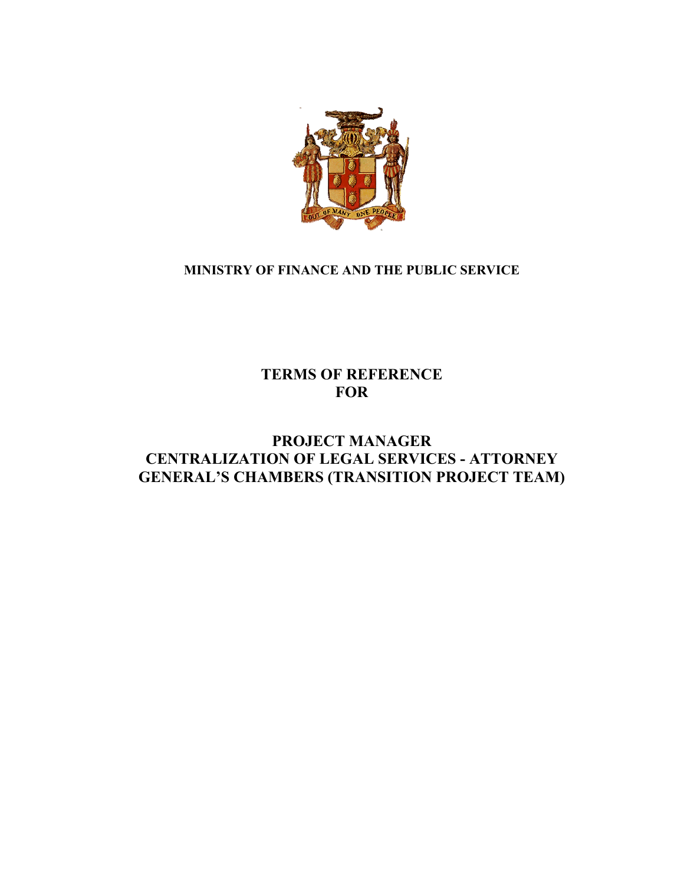

# **MINISTRY OF FINANCE AND THE PUBLIC SERVICE**

# **TERMS OF REFERENCE FOR**

# **PROJECT MANAGER CENTRALIZATION OF LEGAL SERVICES - ATTORNEY GENERAL'S CHAMBERS (TRANSITION PROJECT TEAM)**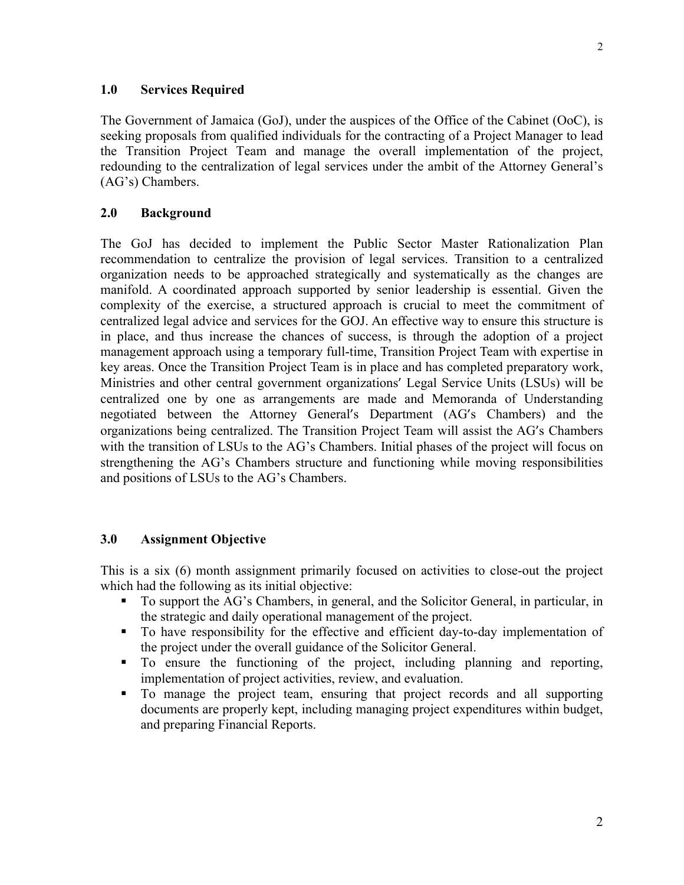#### **1.0 Services Required**

The Government of Jamaica (GoJ), under the auspices of the Office of the Cabinet (OoC), is seeking proposals from qualified individuals for the contracting of a Project Manager to lead the Transition Project Team and manage the overall implementation of the project, redounding to the centralization of legal services under the ambit of the Attorney General's (AG's) Chambers.

#### **2.0 Background**

The GoJ has decided to implement the Public Sector Master Rationalization Plan recommendation to centralize the provision of legal services. Transition to a centralized organization needs to be approached strategically and systematically as the changes are manifold. A coordinated approach supported by senior leadership is essential. Given the complexity of the exercise, a structured approach is crucial to meet the commitment of centralized legal advice and services for the GOJ. An effective way to ensure this structure is in place, and thus increase the chances of success, is through the adoption of a project management approach using a temporary full-time, Transition Project Team with expertise in key areas. Once the Transition Project Team is in place and has completed preparatory work, Ministries and other central government organizations' Legal Service Units (LSUs) will be centralized one by one as arrangements are made and Memoranda of Understanding negotiated between the Attorney General's Department (AG's Chambers) and the organizations being centralized. The Transition Project Team will assist the AG's Chambers with the transition of LSUs to the AG's Chambers. Initial phases of the project will focus on strengthening the AG's Chambers structure and functioning while moving responsibilities and positions of LSUs to the AG's Chambers.

#### **3.0 Assignment Objective**

This is a six (6) month assignment primarily focused on activities to close-out the project which had the following as its initial objective:

- To support the AG's Chambers, in general, and the Solicitor General, in particular, in the strategic and daily operational management of the project.
- To have responsibility for the effective and efficient day-to-day implementation of the project under the overall guidance of the Solicitor General.
- To ensure the functioning of the project, including planning and reporting, implementation of project activities, review, and evaluation.
- To manage the project team, ensuring that project records and all supporting documents are properly kept, including managing project expenditures within budget, and preparing Financial Reports.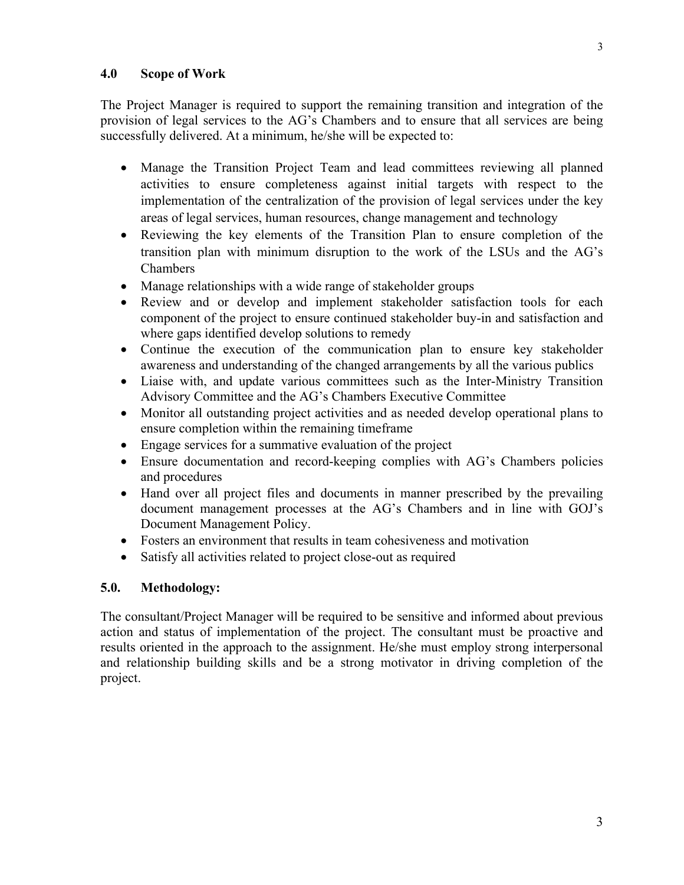### **4.0 Scope of Work**

The Project Manager is required to support the remaining transition and integration of the provision of legal services to the AG's Chambers and to ensure that all services are being successfully delivered. At a minimum, he/she will be expected to:

- Manage the Transition Project Team and lead committees reviewing all planned activities to ensure completeness against initial targets with respect to the implementation of the centralization of the provision of legal services under the key areas of legal services, human resources, change management and technology
- Reviewing the key elements of the Transition Plan to ensure completion of the transition plan with minimum disruption to the work of the LSUs and the AG's Chambers
- Manage relationships with a wide range of stakeholder groups
- Review and or develop and implement stakeholder satisfaction tools for each component of the project to ensure continued stakeholder buy-in and satisfaction and where gaps identified develop solutions to remedy
- Continue the execution of the communication plan to ensure key stakeholder awareness and understanding of the changed arrangements by all the various publics
- Liaise with, and update various committees such as the Inter-Ministry Transition Advisory Committee and the AG's Chambers Executive Committee
- Monitor all outstanding project activities and as needed develop operational plans to ensure completion within the remaining timeframe
- Engage services for a summative evaluation of the project
- Ensure documentation and record-keeping complies with AG's Chambers policies and procedures
- Hand over all project files and documents in manner prescribed by the prevailing document management processes at the AG's Chambers and in line with GOJ's Document Management Policy.
- Fosters an environment that results in team cohesiveness and motivation
- Satisfy all activities related to project close-out as required

### **5.0. Methodology:**

The consultant/Project Manager will be required to be sensitive and informed about previous action and status of implementation of the project. The consultant must be proactive and results oriented in the approach to the assignment. He/she must employ strong interpersonal and relationship building skills and be a strong motivator in driving completion of the project.

3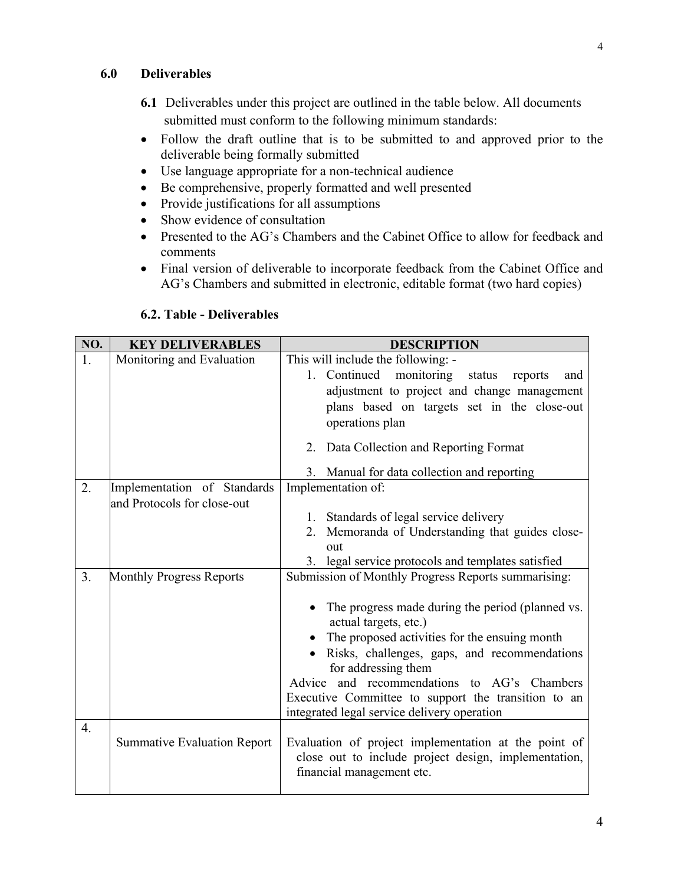### **6.0 Deliverables**

- **6.1** Deliverables under this project are outlined in the table below. All documents submitted must conform to the following minimum standards:
- Follow the draft outline that is to be submitted to and approved prior to the deliverable being formally submitted
- Use language appropriate for a non-technical audience
- Be comprehensive, properly formatted and well presented
- Provide justifications for all assumptions
- Show evidence of consultation
- Presented to the AG's Chambers and the Cabinet Office to allow for feedback and comments
- Final version of deliverable to incorporate feedback from the Cabinet Office and AG's Chambers and submitted in electronic, editable format (two hard copies)

| NO.              | <b>KEY DELIVERABLES</b>            | <b>DESCRIPTION</b>                                                                                                                                                                                                                                                                                                                                     |
|------------------|------------------------------------|--------------------------------------------------------------------------------------------------------------------------------------------------------------------------------------------------------------------------------------------------------------------------------------------------------------------------------------------------------|
| 1.               | Monitoring and Evaluation          | This will include the following: -                                                                                                                                                                                                                                                                                                                     |
|                  |                                    | monitoring<br>1. Continued<br>status<br>reports<br>and                                                                                                                                                                                                                                                                                                 |
|                  |                                    | adjustment to project and change management                                                                                                                                                                                                                                                                                                            |
|                  |                                    | plans based on targets set in the close-out                                                                                                                                                                                                                                                                                                            |
|                  |                                    | operations plan                                                                                                                                                                                                                                                                                                                                        |
|                  |                                    | 2. Data Collection and Reporting Format                                                                                                                                                                                                                                                                                                                |
|                  |                                    | Manual for data collection and reporting<br>3.                                                                                                                                                                                                                                                                                                         |
| 2.               | Implementation of Standards        | Implementation of:                                                                                                                                                                                                                                                                                                                                     |
|                  | and Protocols for close-out        |                                                                                                                                                                                                                                                                                                                                                        |
|                  |                                    | Standards of legal service delivery<br>1.                                                                                                                                                                                                                                                                                                              |
|                  |                                    | 2. Memoranda of Understanding that guides close-                                                                                                                                                                                                                                                                                                       |
|                  |                                    | out                                                                                                                                                                                                                                                                                                                                                    |
|                  |                                    | 3. legal service protocols and templates satisfied                                                                                                                                                                                                                                                                                                     |
| 3.               | <b>Monthly Progress Reports</b>    | Submission of Monthly Progress Reports summarising:                                                                                                                                                                                                                                                                                                    |
|                  |                                    | The progress made during the period (planned vs.<br>actual targets, etc.)<br>The proposed activities for the ensuing month<br>Risks, challenges, gaps, and recommendations<br>for addressing them<br>Advice and recommendations to AG's Chambers<br>Executive Committee to support the transition to an<br>integrated legal service delivery operation |
| $\overline{4}$ . | <b>Summative Evaluation Report</b> | Evaluation of project implementation at the point of<br>close out to include project design, implementation,<br>financial management etc.                                                                                                                                                                                                              |

## **6.2. Table - Deliverables**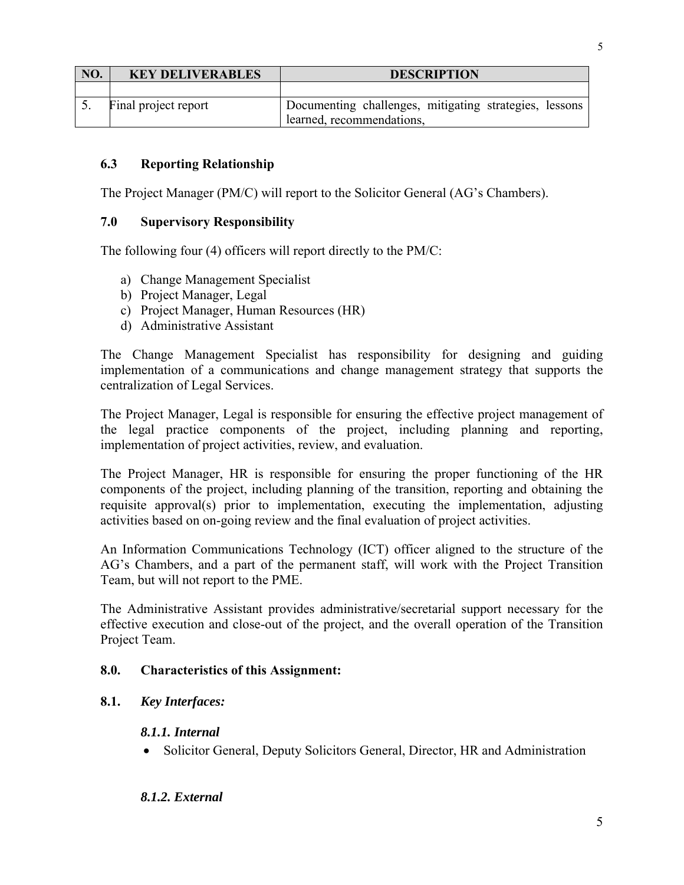| NO. | <b>KEY DELIVERABLES</b> | <b>DESCRIPTION</b>                                     |
|-----|-------------------------|--------------------------------------------------------|
|     |                         |                                                        |
|     | Final project report    | Documenting challenges, mitigating strategies, lessons |
|     |                         | learned, recommendations,                              |

### **6.3 Reporting Relationship**

The Project Manager (PM/C) will report to the Solicitor General (AG's Chambers).

### **7.0 Supervisory Responsibility**

The following four (4) officers will report directly to the PM/C:

- a) Change Management Specialist
- b) Project Manager, Legal
- c) Project Manager, Human Resources (HR)
- d) Administrative Assistant

The Change Management Specialist has responsibility for designing and guiding implementation of a communications and change management strategy that supports the centralization of Legal Services.

The Project Manager, Legal is responsible for ensuring the effective project management of the legal practice components of the project, including planning and reporting, implementation of project activities, review, and evaluation.

The Project Manager, HR is responsible for ensuring the proper functioning of the HR components of the project, including planning of the transition, reporting and obtaining the requisite approval(s) prior to implementation, executing the implementation, adjusting activities based on on-going review and the final evaluation of project activities.

An Information Communications Technology (ICT) officer aligned to the structure of the AG's Chambers, and a part of the permanent staff, will work with the Project Transition Team, but will not report to the PME.

The Administrative Assistant provides administrative/secretarial support necessary for the effective execution and close-out of the project, and the overall operation of the Transition Project Team.

### **8.0. Characteristics of this Assignment:**

### **8.1.** *Key Interfaces:*

### *8.1.1. Internal*

• Solicitor General, Deputy Solicitors General, Director, HR and Administration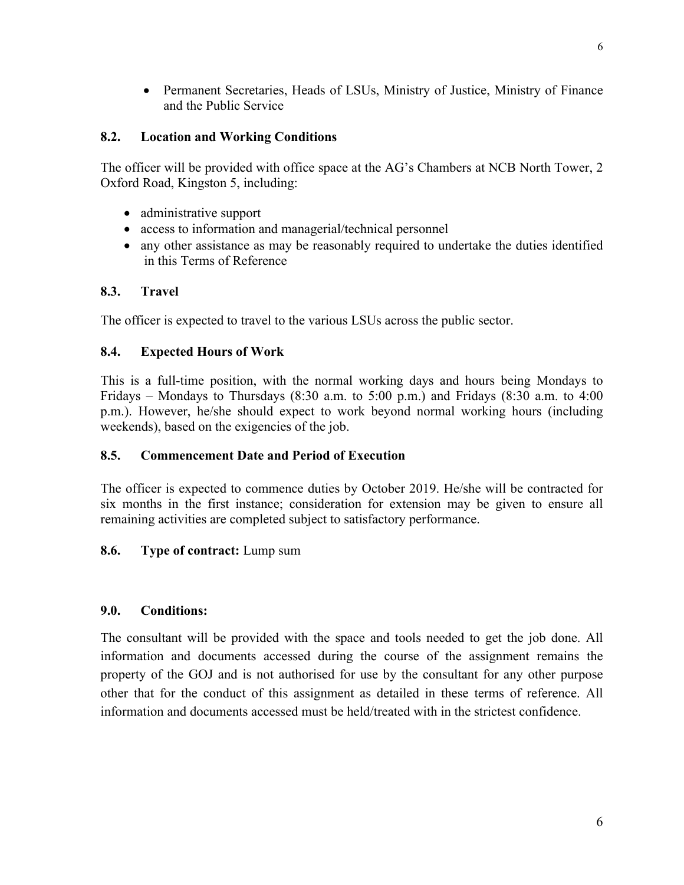• Permanent Secretaries, Heads of LSUs, Ministry of Justice, Ministry of Finance and the Public Service

### **8.2. Location and Working Conditions**

The officer will be provided with office space at the AG's Chambers at NCB North Tower, 2 Oxford Road, Kingston 5, including:

- administrative support
- access to information and managerial/technical personnel
- any other assistance as may be reasonably required to undertake the duties identified in this Terms of Reference

## **8.3. Travel**

The officer is expected to travel to the various LSUs across the public sector.

## **8.4. Expected Hours of Work**

This is a full-time position, with the normal working days and hours being Mondays to Fridays – Mondays to Thursdays  $(8:30 \text{ a.m. to } 5:00 \text{ p.m.})$  and Fridays  $(8:30 \text{ a.m. to } 4:00 \text{ p.m.})$ p.m.). However, he/she should expect to work beyond normal working hours (including weekends), based on the exigencies of the job.

### **8.5. Commencement Date and Period of Execution**

The officer is expected to commence duties by October 2019. He/she will be contracted for six months in the first instance; consideration for extension may be given to ensure all remaining activities are completed subject to satisfactory performance.

## **8.6. Type of contract:** Lump sum

### **9.0. Conditions:**

The consultant will be provided with the space and tools needed to get the job done. All information and documents accessed during the course of the assignment remains the property of the GOJ and is not authorised for use by the consultant for any other purpose other that for the conduct of this assignment as detailed in these terms of reference. All information and documents accessed must be held/treated with in the strictest confidence.